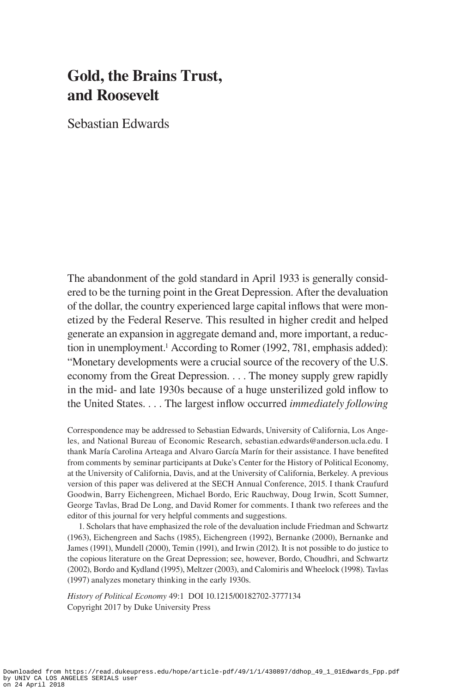# **Gold, the Brains Trust, and Roosevelt**

Sebastian Edwards

The abandonment of the gold standard in April 1933 is generally considered to be the turning point in the Great Depression. After the devaluation of the dollar, the country experienced large capital inflows that were monetized by the Federal Reserve. This resulted in higher credit and helped generate an expansion in aggregate demand and, more important, a reduction in unemployment.<sup>1</sup> According to Romer (1992, 781, emphasis added): "Monetary developments were a crucial source of the recovery of the U.S. economy from the Great Depression. . . . The money supply grew rapidly in the mid- and late 1930s because of a huge unsterilized gold inflow to the United States. . . . The largest inflow occurred *immediately following* 

Correspondence may be addressed to Sebastian Edwards, University of California, Los Angeles, and National Bureau of Economic Research, sebastian.edwards@anderson.ucla.edu. I thank María Carolina Arteaga and Alvaro García Marín for their assistance. I have benefited from comments by seminar participants at Duke's Center for the History of Political Economy, at the University of California, Davis, and at the University of California, Berkeley. A previous version of this paper was delivered at the SECH Annual Conference, 2015. I thank Craufurd Goodwin, Barry Eichengreen, Michael Bordo, Eric Rauchway, Doug Irwin, Scott Sumner, George Tavlas, Brad De Long, and David Romer for comments. I thank two referees and the editor of this journal for very helpful comments and suggestions.

1. Scholars that have emphasized the role of the devaluation include Friedman and Schwartz (1963), Eichengreen and Sachs (1985), Eichengreen (1992), Bernanke (2000), Bernanke and James (1991), Mundell (2000), Temin (1991), and Irwin (2012). It is not possible to do justice to the copious literature on the Great Depression; see, however, Bordo, Choudhri, and Schwartz (2002), Bordo and Kydland (1995), Meltzer (2003), and Calomiris and Wheelock (1998). Tavlas (1997) analyzes monetary thinking in the early 1930s.

*History of Political Economy* 49:1 DOI 10.1215/00182702-3777134 Copyright 2017 by Duke University Press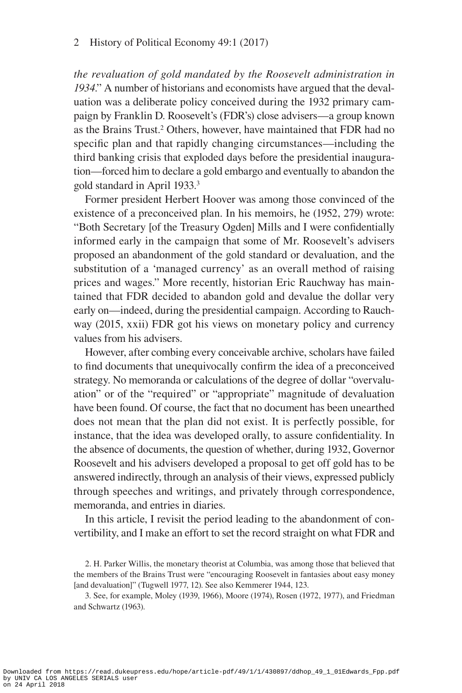*the revaluation of gold mandated by the Roosevelt administration in 1934*." A number of historians and economists have argued that the devaluation was a deliberate policy conceived during the 1932 primary campaign by Franklin D. Roosevelt's (FDR's) close advisers—a group known as the Brains Trust.<sup>2</sup> Others, however, have maintained that FDR had no specific plan and that rapidly changing circumstances—including the third banking crisis that exploded days before the presidential inauguration—forced him to declare a gold embargo and eventually to abandon the gold standard in April 1933.3

Former president Herbert Hoover was among those convinced of the existence of a preconceived plan. In his memoirs, he (1952, 279) wrote: "Both Secretary [of the Treasury Ogden] Mills and I were confidentially informed early in the campaign that some of Mr. Roosevelt's advisers proposed an abandonment of the gold standard or devaluation, and the substitution of a 'managed currency' as an overall method of raising prices and wages." More recently, historian Eric Rauchway has maintained that FDR decided to abandon gold and devalue the dollar very early on—indeed, during the presidential campaign. According to Rauchway (2015, xxii) FDR got his views on monetary policy and currency values from his advisers.

However, after combing every conceivable archive, scholars have failed to find documents that unequivocally confirm the idea of a preconceived strategy. No memoranda or calculations of the degree of dollar "overvaluation" or of the "required" or "appropriate" magnitude of devaluation have been found. Of course, the fact that no document has been unearthed does not mean that the plan did not exist. It is perfectly possible, for instance, that the idea was developed orally, to assure confidentiality. In the absence of documents, the question of whether, during 1932, Governor Roosevelt and his advisers developed a proposal to get off gold has to be answered indirectly, through an analysis of their views, expressed publicly through speeches and writings, and privately through correspondence, memoranda, and entries in diaries.

In this article, I revisit the period leading to the abandonment of convertibility, and I make an effort to set the record straight on what FDR and

<sup>2.</sup> H. Parker Willis, the monetary theorist at Columbia, was among those that believed that the members of the Brains Trust were "encouraging Roosevelt in fantasies about easy money [and devaluation]" (Tugwell 1977, 12). See also Kemmerer 1944, 123.

<sup>3.</sup> See, for example, Moley (1939, 1966), Moore (1974), Rosen (1972, 1977), and Friedman and Schwartz (1963).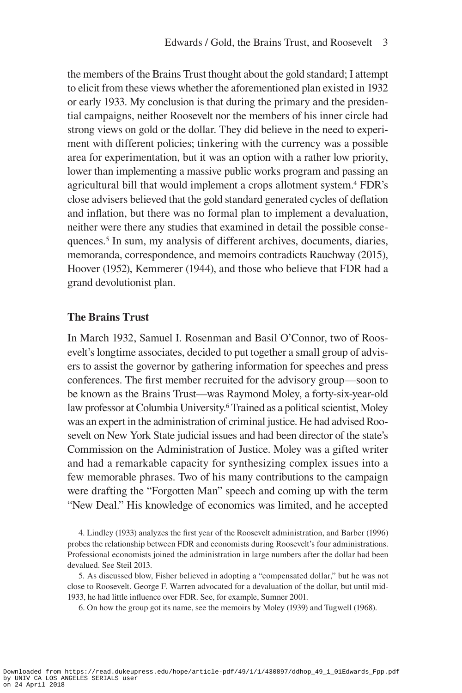the members of the Brains Trust thought about the gold standard; I attempt to elicit from these views whether the aforementioned plan existed in 1932 or early 1933. My conclusion is that during the primary and the presidential campaigns, neither Roosevelt nor the members of his inner circle had strong views on gold or the dollar. They did believe in the need to experiment with different policies; tinkering with the currency was a possible area for experimentation, but it was an option with a rather low priority, lower than implementing a massive public works program and passing an agricultural bill that would implement a crops allotment system.4 FDR's close advisers believed that the gold standard generated cycles of deflation and inflation, but there was no formal plan to implement a devaluation, neither were there any studies that examined in detail the possible consequences.5 In sum, my analysis of different archives, documents, diaries, memoranda, correspondence, and memoirs contradicts Rauchway (2015), Hoover (1952), Kemmerer (1944), and those who believe that FDR had a grand devolutionist plan.

## **The Brains Trust**

In March 1932, Samuel I. Rosenman and Basil O'Connor, two of Roosevelt's longtime associates, decided to put together a small group of advisers to assist the governor by gathering information for speeches and press conferences. The first member recruited for the advisory group—soon to be known as the Brains Trust—was Raymond Moley, a forty-six-year-old law professor at Columbia University.<sup>6</sup> Trained as a political scientist, Moley was an expert in the administration of criminal justice. He had advised Roosevelt on New York State judicial issues and had been director of the state's Commission on the Administration of Justice. Moley was a gifted writer and had a remarkable capacity for synthesizing complex issues into a few memorable phrases. Two of his many contributions to the campaign were drafting the "Forgotten Man" speech and coming up with the term "New Deal." His knowledge of economics was limited, and he accepted

4. Lindley (1933) analyzes the first year of the Roosevelt administration, and Barber (1996) probes the relationship between FDR and economists during Roosevelt's four administrations. Professional economists joined the administration in large numbers after the dollar had been devalued. See Steil 2013.

5. As discussed blow, Fisher believed in adopting a "compensated dollar," but he was not close to Roosevelt. George F. Warren advocated for a devaluation of the dollar, but until mid-1933, he had little influence over FDR. See, for example, Sumner 2001.

6. On how the group got its name, see the memoirs by Moley (1939) and Tugwell (1968).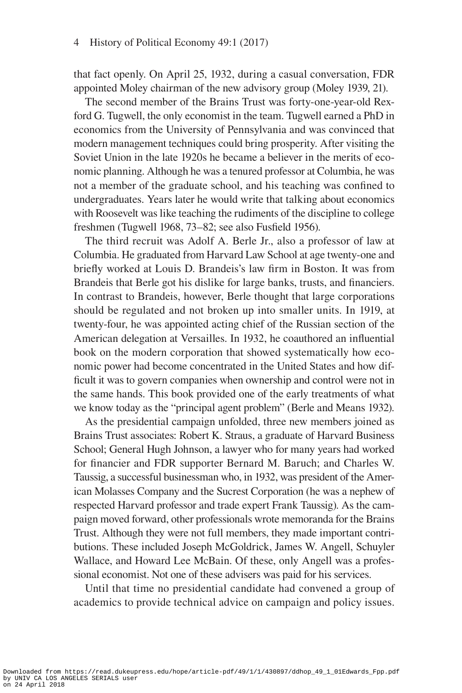that fact openly. On April 25, 1932, during a casual conversation, FDR appointed Moley chairman of the new advisory group (Moley 1939, 21).

The second member of the Brains Trust was forty-one-year-old Rexford G. Tugwell, the only economist in the team. Tugwell earned a PhD in economics from the University of Pennsylvania and was convinced that modern management techniques could bring prosperity. After visiting the Soviet Union in the late 1920s he became a believer in the merits of economic planning. Although he was a tenured professor at Columbia, he was not a member of the graduate school, and his teaching was confined to undergraduates. Years later he would write that talking about economics with Roosevelt was like teaching the rudiments of the discipline to college freshmen (Tugwell 1968, 73–82; see also Fusfield 1956).

The third recruit was Adolf A. Berle Jr., also a professor of law at Columbia. He graduated from Harvard Law School at age twenty-one and briefly worked at Louis D. Brandeis's law firm in Boston. It was from Brandeis that Berle got his dislike for large banks, trusts, and financiers. In contrast to Brandeis, however, Berle thought that large corporations should be regulated and not broken up into smaller units. In 1919, at twenty-four, he was appointed acting chief of the Russian section of the American delegation at Versailles. In 1932, he coauthored an influential book on the modern corporation that showed systematically how economic power had become concentrated in the United States and how difficult it was to govern companies when ownership and control were not in the same hands. This book provided one of the early treatments of what we know today as the "principal agent problem" (Berle and Means 1932).

As the presidential campaign unfolded, three new members joined as Brains Trust associates: Robert K. Straus, a graduate of Harvard Business School; General Hugh Johnson, a lawyer who for many years had worked for financier and FDR supporter Bernard M. Baruch; and Charles W. Taussig, a successful businessman who, in 1932, was president of the American Molasses Company and the Sucrest Corporation (he was a nephew of respected Harvard professor and trade expert Frank Taussig). As the campaign moved forward, other professionals wrote memoranda for the Brains Trust. Although they were not full members, they made important contributions. These included Joseph McGoldrick, James W. Angell, Schuyler Wallace, and Howard Lee McBain. Of these, only Angell was a professional economist. Not one of these advisers was paid for his services.

Until that time no presidential candidate had convened a group of academics to provide technical advice on campaign and policy issues.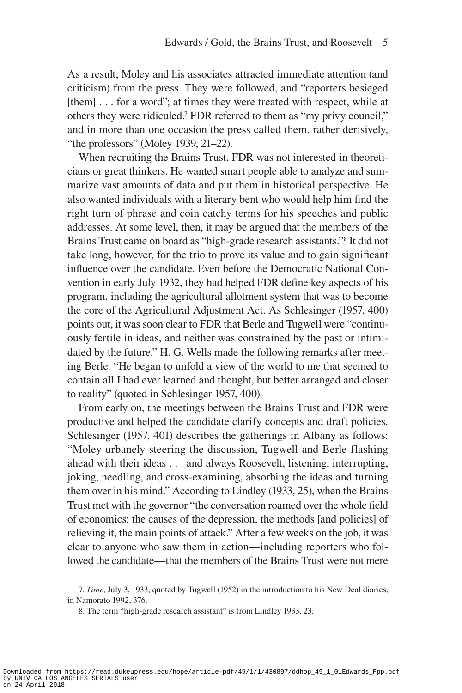As a result, Moley and his associates attracted immediate attention (and criticism) from the press. They were followed, and "reporters besieged [them] . . . for a word"; at times they were treated with respect, while at others they were ridiculed.<sup>7</sup> FDR referred to them as "my privy council," and in more than one occasion the press called them, rather derisively, "the professors" (Moley 1939, 21–22).

When recruiting the Brains Trust, FDR was not interested in theoreticians or great thinkers. He wanted smart people able to analyze and summarize vast amounts of data and put them in historical perspective. He also wanted individuals with a literary bent who would help him find the right turn of phrase and coin catchy terms for his speeches and public addresses. At some level, then, it may be argued that the members of the Brains Trust came on board as "high-grade research assistants."8 It did not take long, however, for the trio to prove its value and to gain significant influence over the candidate. Even before the Democratic National Convention in early July 1932, they had helped FDR define key aspects of his program, including the agricultural allotment system that was to become the core of the Agricultural Adjustment Act. As Schlesinger (1957, 400) points out, it was soon clear to FDR that Berle and Tugwell were "continuously fertile in ideas, and neither was constrained by the past or intimidated by the future." H. G. Wells made the following remarks after meeting Berle: "He began to unfold a view of the world to me that seemed to contain all I had ever learned and thought, but better arranged and closer to reality" (quoted in Schlesinger 1957, 400).

From early on, the meetings between the Brains Trust and FDR were productive and helped the candidate clarify concepts and draft policies. Schlesinger (1957, 401) describes the gatherings in Albany as follows: "Moley urbanely steering the discussion, Tugwell and Berle flashing ahead with their ideas . . . and always Roosevelt, listening, interrupting, joking, needling, and cross-examining, absorbing the ideas and turning them over in his mind." According to Lindley (1933, 25), when the Brains Trust met with the governor "the conversation roamed over the whole field of economics: the causes of the depression, the methods [and policies] of relieving it, the main points of attack." After a few weeks on the job, it was clear to anyone who saw them in action—including reporters who followed the candidate—that the members of the Brains Trust were not mere

<sup>7.</sup> *Time*, July 3, 1933, quoted by Tugwell (1952) in the introduction to his New Deal diaries, in Namorato 1992, 376.

<sup>8.</sup> The term "high-grade research assistant" is from Lindley 1933, 23.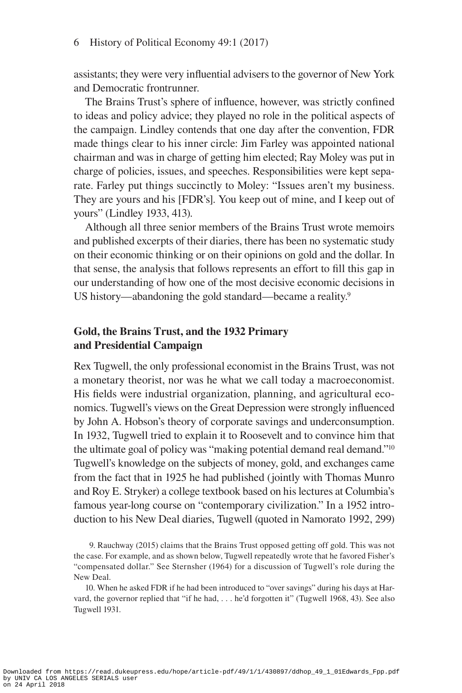assistants; they were very influential advisers to the governor of New York and Democratic frontrunner.

The Brains Trust's sphere of influence, however, was strictly confined to ideas and policy advice; they played no role in the political aspects of the campaign. Lindley contends that one day after the convention, FDR made things clear to his inner circle: Jim Farley was appointed national chairman and was in charge of getting him elected; Ray Moley was put in charge of policies, issues, and speeches. Responsibilities were kept separate. Farley put things succinctly to Moley: "Issues aren't my business. They are yours and his [FDR's]. You keep out of mine, and I keep out of yours" (Lindley 1933, 413).

Although all three senior members of the Brains Trust wrote memoirs and published excerpts of their diaries, there has been no systematic study on their economic thinking or on their opinions on gold and the dollar. In that sense, the analysis that follows represents an effort to fill this gap in our understanding of how one of the most decisive economic decisions in US history—abandoning the gold standard—became a reality.<sup>9</sup>

# **Gold, the Brains Trust, and the 1932 Primary and Presidential Campaign**

Rex Tugwell, the only professional economist in the Brains Trust, was not a monetary theorist, nor was he what we call today a macroeconomist. His fields were industrial organization, planning, and agricultural economics. Tugwell's views on the Great Depression were strongly influenced by John A. Hobson's theory of corporate savings and underconsumption. In 1932, Tugwell tried to explain it to Roosevelt and to convince him that the ultimate goal of policy was "making potential demand real demand."10 Tugwell's knowledge on the subjects of money, gold, and exchanges came from the fact that in 1925 he had published (jointly with Thomas Munro and Roy E. Stryker) a college textbook based on his lectures at Columbia's famous year-long course on "contemporary civilization." In a 1952 introduction to his New Deal diaries, Tugwell (quoted in Namorato 1992, 299)

9. Rauchway (2015) claims that the Brains Trust opposed getting off gold. This was not the case. For example, and as shown below, Tugwell repeatedly wrote that he favored Fisher's "compensated dollar." See Sternsher (1964) for a discussion of Tugwell's role during the New Deal.

10. When he asked FDR if he had been introduced to "over savings" during his days at Harvard, the governor replied that "if he had, . . . he'd forgotten it" (Tugwell 1968, 43). See also Tugwell 1931.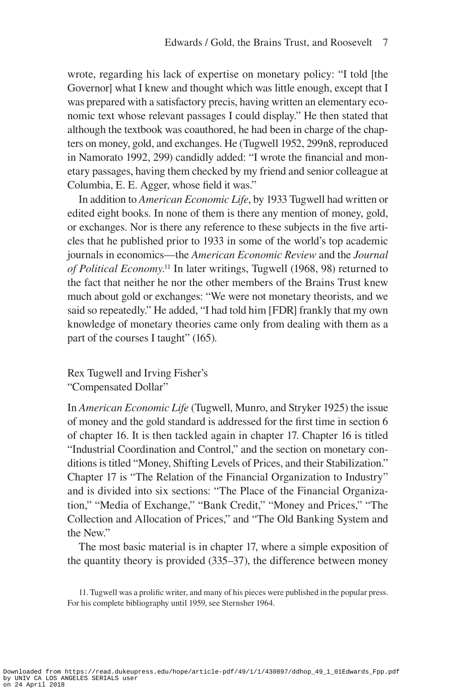wrote, regarding his lack of expertise on monetary policy: "I told [the Governor] what I knew and thought which was little enough, except that I was prepared with a satisfactory precis, having written an elementary economic text whose relevant passages I could display." He then stated that although the textbook was coauthored, he had been in charge of the chapters on money, gold, and exchanges. He (Tugwell 1952, 299n8, reproduced in Namorato 1992, 299) candidly added: "I wrote the financial and monetary passages, having them checked by my friend and senior colleague at Columbia, E. E. Agger, whose field it was."

In addition to *American Economic Life*, by 1933 Tugwell had written or edited eight books. In none of them is there any mention of money, gold, or exchanges. Nor is there any reference to these subjects in the five articles that he published prior to 1933 in some of the world's top academic journals in economics—the *American Economic Review* and the *Journal of Political Economy*. 11 In later writings, Tugwell (1968, 98) returned to the fact that neither he nor the other members of the Brains Trust knew much about gold or exchanges: "We were not monetary theorists, and we said so repeatedly." He added, "I had told him [FDR] frankly that my own knowledge of monetary theories came only from dealing with them as a part of the courses I taught" (165).

Rex Tugwell and Irving Fisher's "Compensated Dollar"

In *American Economic Life* (Tugwell, Munro, and Stryker 1925) the issue of money and the gold standard is addressed for the first time in section 6 of chapter 16. It is then tackled again in chapter 17. Chapter 16 is titled "Industrial Coordination and Control," and the section on monetary conditions is titled "Money, Shifting Levels of Prices, and their Stabilization." Chapter 17 is "The Relation of the Financial Organization to Industry" and is divided into six sections: "The Place of the Financial Organization," "Media of Exchange," "Bank Credit," "Money and Prices," "The Collection and Allocation of Prices," and "The Old Banking System and the New."

The most basic material is in chapter 17, where a simple exposition of the quantity theory is provided (335–37), the difference between money

<sup>11.</sup> Tugwell was a prolific writer, and many of his pieces were published in the popular press. For his complete bibliography until 1959, see Sternsher 1964.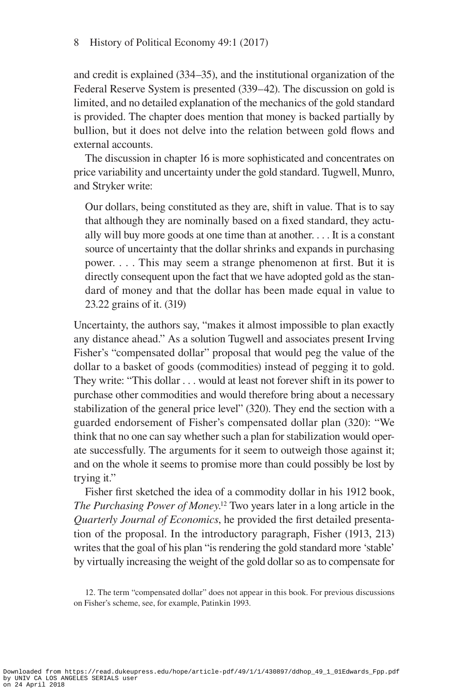and credit is explained (334–35), and the institutional organization of the Federal Reserve System is presented (339–42). The discussion on gold is limited, and no detailed explanation of the mechanics of the gold standard is provided. The chapter does mention that money is backed partially by bullion, but it does not delve into the relation between gold flows and external accounts.

The discussion in chapter 16 is more sophisticated and concentrates on price variability and uncertainty under the gold standard. Tugwell, Munro, and Stryker write:

Our dollars, being constituted as they are, shift in value. That is to say that although they are nominally based on a fixed standard, they actually will buy more goods at one time than at another. . . . It is a constant source of uncertainty that the dollar shrinks and expands in purchasing power. . . . This may seem a strange phenomenon at first. But it is directly consequent upon the fact that we have adopted gold as the standard of money and that the dollar has been made equal in value to 23.22 grains of it. (319)

Uncertainty, the authors say, "makes it almost impossible to plan exactly any distance ahead." As a solution Tugwell and associates present Irving Fisher's "compensated dollar" proposal that would peg the value of the dollar to a basket of goods (commodities) instead of pegging it to gold. They write: "This dollar . . . would at least not forever shift in its power to purchase other commodities and would therefore bring about a necessary stabilization of the general price level" (320). They end the section with a guarded endorsement of Fisher's compensated dollar plan (320): "We think that no one can say whether such a plan for stabilization would operate successfully. The arguments for it seem to outweigh those against it; and on the whole it seems to promise more than could possibly be lost by trying it."

Fisher first sketched the idea of a commodity dollar in his 1912 book, *The Purchasing Power of Money*. 12 Two years later in a long article in the *Quarterly Journal of Economics*, he provided the first detailed presentation of the proposal. In the introductory paragraph, Fisher (1913, 213) writes that the goal of his plan "is rendering the gold standard more 'stable' by virtually increasing the weight of the gold dollar so as to compensate for

<sup>12.</sup> The term "compensated dollar" does not appear in this book. For previous discussions on Fisher's scheme, see, for example, Patinkin 1993.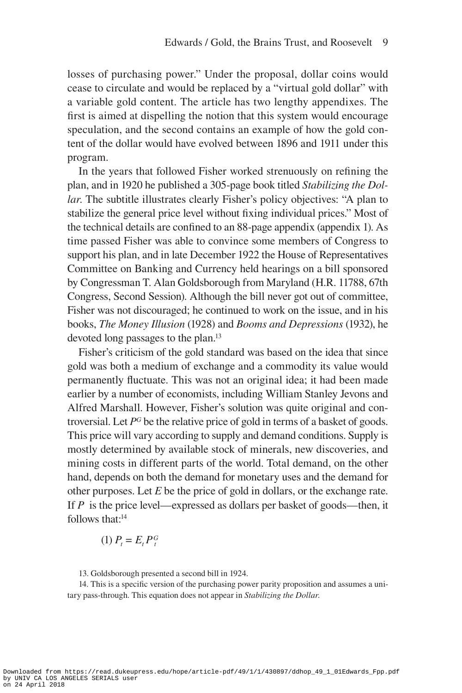losses of purchasing power." Under the proposal, dollar coins would cease to circulate and would be replaced by a "virtual gold dollar" with a variable gold content. The article has two lengthy appendixes. The first is aimed at dispelling the notion that this system would encourage speculation, and the second contains an example of how the gold content of the dollar would have evolved between 1896 and 1911 under this program.

In the years that followed Fisher worked strenuously on refining the plan, and in 1920 he published a 305-page book titled *Stabilizing the Dollar*. The subtitle illustrates clearly Fisher's policy objectives: "A plan to stabilize the general price level without fixing individual prices." Most of the technical details are confined to an 88-page appendix (appendix 1). As time passed Fisher was able to convince some members of Congress to support his plan, and in late December 1922 the House of Representatives Committee on Banking and Currency held hearings on a bill sponsored by Congressman T. Alan Goldsborough from Maryland (H.R. 11788, 67th Congress, Second Session). Although the bill never got out of committee, Fisher was not discouraged; he continued to work on the issue, and in his books, *The Money Illusion* (1928) and *Booms and Depressions* (1932), he devoted long passages to the plan.13

Fisher's criticism of the gold standard was based on the idea that since gold was both a medium of exchange and a commodity its value would permanently fluctuate. This was not an original idea; it had been made earlier by a number of economists, including William Stanley Jevons and Alfred Marshall. However, Fisher's solution was quite original and controversial. Let *PG* be the relative price of gold in terms of a basket of goods. This price will vary according to supply and demand conditions. Supply is mostly determined by available stock of minerals, new discoveries, and mining costs in different parts of the world. Total demand, on the other hand, depends on both the demand for monetary uses and the demand for other purposes. Let *E* be the price of gold in dollars, or the exchange rate. If *P* is the price level—expressed as dollars per basket of goods—then, it follows that:14

$$
(1) P_t = E_t P_t^G
$$

13. Goldsborough presented a second bill in 1924.

14. This is a specific version of the purchasing power parity proposition and assumes a unitary pass-through. This equation does not appear in *Stabilizing the Dollar*.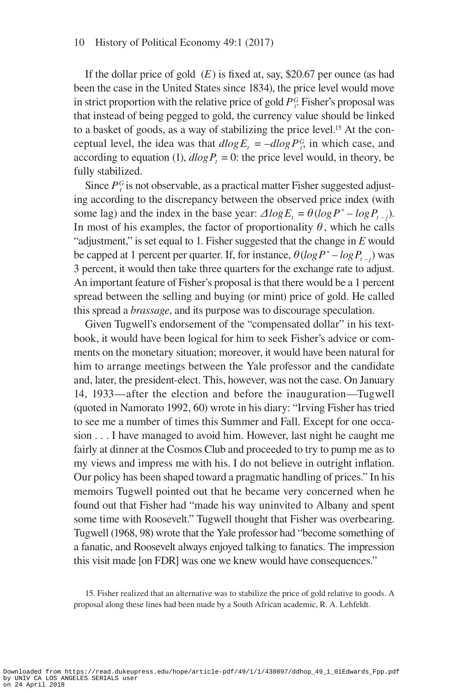If the dollar price of gold  $(E)$  is fixed at, say, \$20.67 per ounce (as had been the case in the United States since 1834), the price level would move in strict proportion with the relative price of gold  $P_t^G$ . Fisher's proposal was that instead of being pegged to gold, the currency value should be linked to a basket of goods, as a way of stabilizing the price level.15 At the conceptual level, the idea was that  $dlog E_t = -dlog P_t^G$ , in which case, and according to equation (1),  $dlog P_t = 0$ : the price level would, in theory, be fully stabilized.

Since  $P_t^G$  is not observable, as a practical matter Fisher suggested adjusting according to the discrepancy between the observed price index (with some lag) and the index in the base year:  $\Delta log E = \theta (log P^* - log P_{t-1})$ . In most of his examples, the factor of proportionality  $\theta$ , which he calls "adjustment," is set equal to 1. Fisher suggested that the change in *E* would be capped at 1 percent per quarter. If, for instance,  $\theta(\log P^* - \log P_{t-1})$  was 3 percent, it would then take three quarters for the exchange rate to adjust. An important feature of Fisher's proposal is that there would be a 1 percent spread between the selling and buying (or mint) price of gold. He called this spread a *brassage*, and its purpose was to discourage speculation.

Given Tugwell's endorsement of the "compensated dollar" in his textbook, it would have been logical for him to seek Fisher's advice or comments on the monetary situation; moreover, it would have been natural for him to arrange meetings between the Yale professor and the candidate and, later, the president-elect. This, however, was not the case. On January 14, 1933—after the election and before the inauguration—Tugwell (quoted in Namorato 1992, 60) wrote in his diary: "Irving Fisher has tried to see me a number of times this Summer and Fall. Except for one occasion . . . I have managed to avoid him. However, last night he caught me fairly at dinner at the Cosmos Club and proceeded to try to pump me as to my views and impress me with his. I do not believe in outright inflation. Our policy has been shaped toward a pragmatic handling of prices." In his memoirs Tugwell pointed out that he became very concerned when he found out that Fisher had "made his way uninvited to Albany and spent some time with Roosevelt." Tugwell thought that Fisher was overbearing. Tugwell (1968, 98) wrote that the Yale professor had "become something of a fanatic, and Roosevelt always enjoyed talking to fanatics. The impression this visit made [on FDR] was one we knew would have consequences."

<sup>15.</sup> Fisher realized that an alternative was to stabilize the price of gold relative to goods. A proposal along these lines had been made by a South African academic, R. A. Lehfeldt.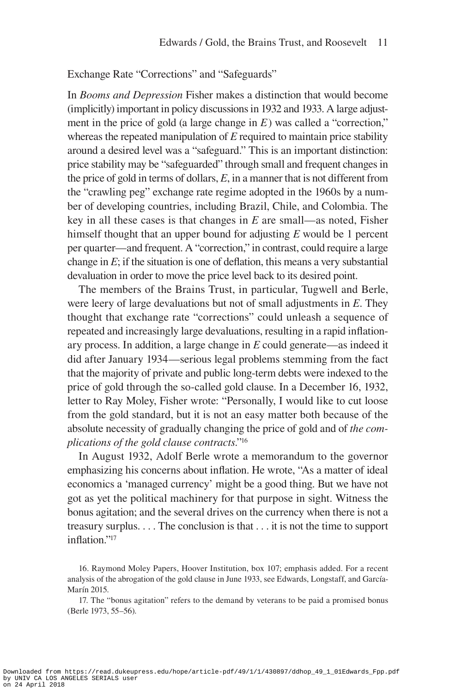Exchange Rate "Corrections" and "Safeguards"

In *Booms and Depression* Fisher makes a distinction that would become (implicitly) important in policy discussions in 1932 and 1933. A large adjustment in the price of gold (a large change in *E*) was called a "correction," whereas the repeated manipulation of *E* required to maintain price stability around a desired level was a "safeguard." This is an important distinction: price stability may be "safeguarded" through small and frequent changes in the price of gold in terms of dollars, *E*, in a manner that is not different from the "crawling peg" exchange rate regime adopted in the 1960s by a number of developing countries, including Brazil, Chile, and Colombia. The key in all these cases is that changes in *E* are small—as noted, Fisher himself thought that an upper bound for adjusting *E* would be 1 percent per quarter—and frequent. A "correction," in contrast, could require a large change in *E*; if the situation is one of deflation, this means a very substantial devaluation in order to move the price level back to its desired point.

The members of the Brains Trust, in particular, Tugwell and Berle, were leery of large devaluations but not of small adjustments in *E*. They thought that exchange rate "corrections" could unleash a sequence of repeated and increasingly large devaluations, resulting in a rapid inflationary process. In addition, a large change in *E* could generate—as indeed it did after January 1934—serious legal problems stemming from the fact that the majority of private and public long-term debts were indexed to the price of gold through the so-called gold clause. In a December 16, 1932, letter to Ray Moley, Fisher wrote: "Personally, I would like to cut loose from the gold standard, but it is not an easy matter both because of the absolute necessity of gradually changing the price of gold and of *the complications of the gold clause contracts*."16

In August 1932, Adolf Berle wrote a memorandum to the governor emphasizing his concerns about inflation. He wrote, "As a matter of ideal economics a 'managed currency' might be a good thing. But we have not got as yet the political machinery for that purpose in sight. Witness the bonus agitation; and the several drives on the currency when there is not a treasury surplus. . . . The conclusion is that . . . it is not the time to support inflation."17

<sup>16.</sup> Raymond Moley Papers, Hoover Institution, box 107; emphasis added. For a recent analysis of the abrogation of the gold clause in June 1933, see Edwards, Longstaff, and García-Marín 2015.

<sup>17.</sup> The "bonus agitation" refers to the demand by veterans to be paid a promised bonus (Berle 1973, 55–56).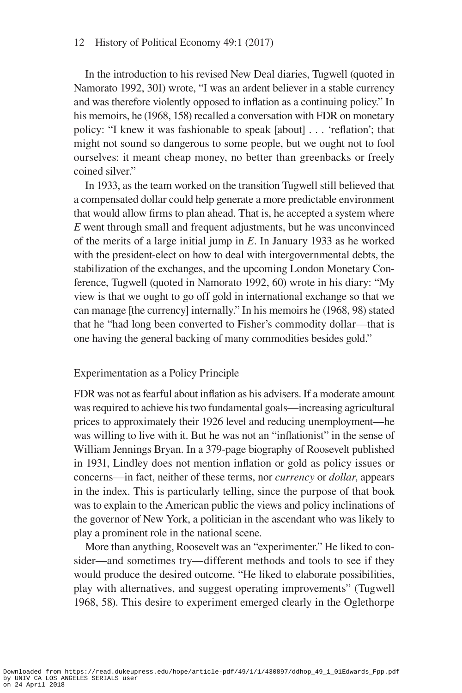In the introduction to his revised New Deal diaries, Tugwell (quoted in Namorato 1992, 301) wrote, "I was an ardent believer in a stable currency and was therefore violently opposed to inflation as a continuing policy." In his memoirs, he (1968, 158) recalled a conversation with FDR on monetary policy: "I knew it was fashionable to speak [about] . . . 'reflation'; that might not sound so dangerous to some people, but we ought not to fool ourselves: it meant cheap money, no better than greenbacks or freely coined silver"

In 1933, as the team worked on the transition Tugwell still believed that a compensated dollar could help generate a more predictable environment that would allow firms to plan ahead. That is, he accepted a system where *E* went through small and frequent adjustments, but he was unconvinced of the merits of a large initial jump in *E*. In January 1933 as he worked with the president-elect on how to deal with intergovernmental debts, the stabilization of the exchanges, and the upcoming London Monetary Conference, Tugwell (quoted in Namorato 1992, 60) wrote in his diary: "My view is that we ought to go off gold in international exchange so that we can manage [the currency] internally." In his memoirs he (1968, 98) stated that he "had long been converted to Fisher's commodity dollar—that is one having the general backing of many commodities besides gold."

## Experimentation as a Policy Principle

FDR was not as fearful about inflation as his advisers. If a moderate amount was required to achieve his two fundamental goals—increasing agricultural prices to approximately their 1926 level and reducing unemployment—he was willing to live with it. But he was not an "inflationist" in the sense of William Jennings Bryan. In a 379-page biography of Roosevelt published in 1931, Lindley does not mention inflation or gold as policy issues or concerns—in fact, neither of these terms, nor *currency* or *dollar*, appears in the index. This is particularly telling, since the purpose of that book was to explain to the American public the views and policy inclinations of the governor of New York, a politician in the ascendant who was likely to play a prominent role in the national scene.

More than anything, Roosevelt was an "experimenter." He liked to consider—and sometimes try—different methods and tools to see if they would produce the desired outcome. "He liked to elaborate possibilities, play with alternatives, and suggest operating improvements" (Tugwell 1968, 58). This desire to experiment emerged clearly in the Oglethorpe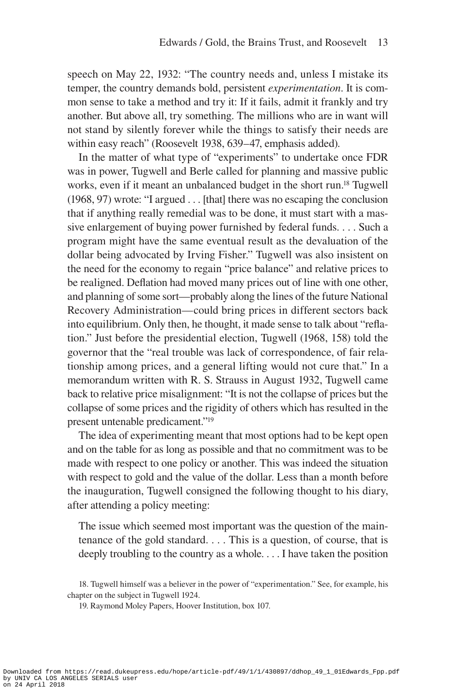speech on May 22, 1932: "The country needs and, unless I mistake its temper, the country demands bold, persistent *experimentation*. It is common sense to take a method and try it: If it fails, admit it frankly and try another. But above all, try something. The millions who are in want will not stand by silently forever while the things to satisfy their needs are within easy reach" (Roosevelt 1938, 639–47, emphasis added).

In the matter of what type of "experiments" to undertake once FDR was in power, Tugwell and Berle called for planning and massive public works, even if it meant an unbalanced budget in the short run.18 Tugwell (1968, 97) wrote: "I argued . . . [that] there was no escaping the conclusion that if anything really remedial was to be done, it must start with a massive enlargement of buying power furnished by federal funds. . . . Such a program might have the same eventual result as the devaluation of the dollar being advocated by Irving Fisher." Tugwell was also insistent on the need for the economy to regain "price balance" and relative prices to be realigned. Deflation had moved many prices out of line with one other, and planning of some sort—probably along the lines of the future National Recovery Administration—could bring prices in different sectors back into equilibrium. Only then, he thought, it made sense to talk about "reflation." Just before the presidential election, Tugwell (1968, 158) told the governor that the "real trouble was lack of correspondence, of fair relationship among prices, and a general lifting would not cure that." In a memorandum written with R. S. Strauss in August 1932, Tugwell came back to relative price misalignment: "It is not the collapse of prices but the collapse of some prices and the rigidity of others which has resulted in the present untenable predicament."19

The idea of experimenting meant that most options had to be kept open and on the table for as long as possible and that no commitment was to be made with respect to one policy or another. This was indeed the situation with respect to gold and the value of the dollar. Less than a month before the inauguration, Tugwell consigned the following thought to his diary, after attending a policy meeting:

The issue which seemed most important was the question of the maintenance of the gold standard. . . . This is a question, of course, that is deeply troubling to the country as a whole. . . . I have taken the position

19. Raymond Moley Papers, Hoover Institution, box 107.

<sup>18.</sup> Tugwell himself was a believer in the power of "experimentation." See, for example, his chapter on the subject in Tugwell 1924.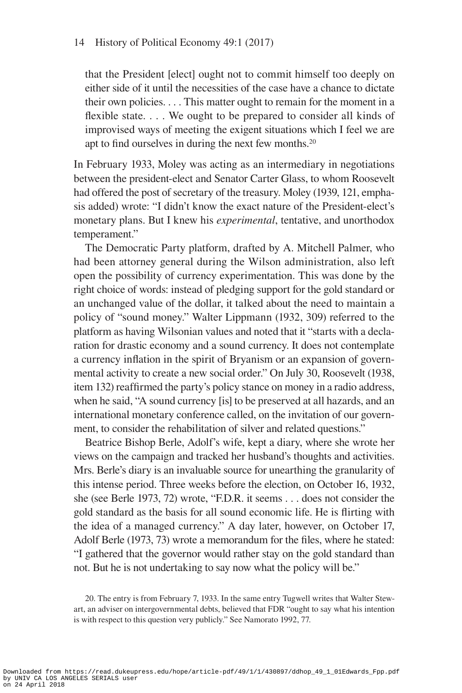that the President [elect] ought not to commit himself too deeply on either side of it until the necessities of the case have a chance to dictate their own policies. . . . This matter ought to remain for the moment in a flexible state. . . . We ought to be prepared to consider all kinds of improvised ways of meeting the exigent situations which I feel we are apt to find ourselves in during the next few months.20

In February 1933, Moley was acting as an intermediary in negotiations between the president-elect and Senator Carter Glass, to whom Roosevelt had offered the post of secretary of the treasury. Moley (1939, 121, emphasis added) wrote: "I didn't know the exact nature of the President-elect's monetary plans. But I knew his *experimental*, tentative, and unorthodox temperament."

The Democratic Party platform, drafted by A. Mitchell Palmer, who had been attorney general during the Wilson administration, also left open the possibility of currency experimentation. This was done by the right choice of words: instead of pledging support for the gold standard or an unchanged value of the dollar, it talked about the need to maintain a policy of "sound money." Walter Lippmann (1932, 309) referred to the platform as having Wilsonian values and noted that it "starts with a declaration for drastic economy and a sound currency. It does not contemplate a currency inflation in the spirit of Bryanism or an expansion of governmental activity to create a new social order." On July 30, Roosevelt (1938, item 132) reaffirmed the party's policy stance on money in a radio address, when he said, "A sound currency [is] to be preserved at all hazards, and an international monetary conference called, on the invitation of our government, to consider the rehabilitation of silver and related questions."

Beatrice Bishop Berle, Adolf's wife, kept a diary, where she wrote her views on the campaign and tracked her husband's thoughts and activities. Mrs. Berle's diary is an invaluable source for unearthing the granularity of this intense period. Three weeks before the election, on October 16, 1932, she (see Berle 1973, 72) wrote, "F.D.R. it seems . . . does not consider the gold standard as the basis for all sound economic life. He is flirting with the idea of a managed currency." A day later, however, on October 17, Adolf Berle (1973, 73) wrote a memorandum for the files, where he stated: "I gathered that the governor would rather stay on the gold standard than not. But he is not undertaking to say now what the policy will be."

<sup>20.</sup> The entry is from February 7, 1933. In the same entry Tugwell writes that Walter Stewart, an adviser on intergovernmental debts, believed that FDR "ought to say what his intention is with respect to this question very publicly." See Namorato 1992, 77.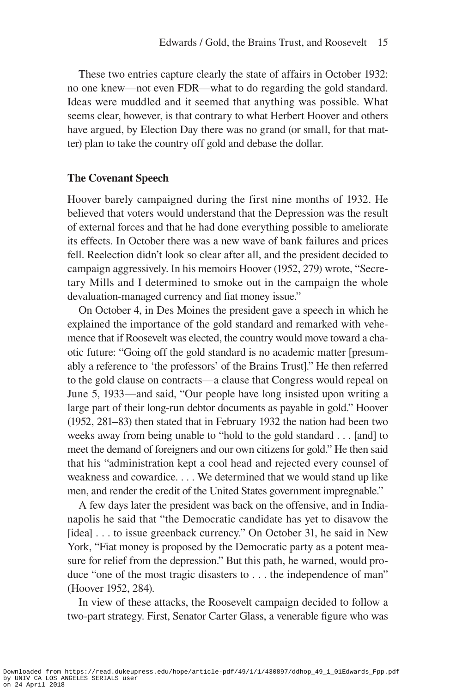These two entries capture clearly the state of affairs in October 1932: no one knew—not even FDR—what to do regarding the gold standard. Ideas were muddled and it seemed that anything was possible. What seems clear, however, is that contrary to what Herbert Hoover and others have argued, by Election Day there was no grand (or small, for that matter) plan to take the country off gold and debase the dollar.

## **The Covenant Speech**

Hoover barely campaigned during the first nine months of 1932. He believed that voters would understand that the Depression was the result of external forces and that he had done everything possible to ameliorate its effects. In October there was a new wave of bank failures and prices fell. Reelection didn't look so clear after all, and the president decided to campaign aggressively. In his memoirs Hoover (1952, 279) wrote, "Secretary Mills and I determined to smoke out in the campaign the whole devaluation-managed currency and fiat money issue."

On October 4, in Des Moines the president gave a speech in which he explained the importance of the gold standard and remarked with vehemence that if Roosevelt was elected, the country would move toward a chaotic future: "Going off the gold standard is no academic matter [presumably a reference to 'the professors' of the Brains Trust]." He then referred to the gold clause on contracts—a clause that Congress would repeal on June 5, 1933—and said, "Our people have long insisted upon writing a large part of their long-run debtor documents as payable in gold." Hoover (1952, 281–83) then stated that in February 1932 the nation had been two weeks away from being unable to "hold to the gold standard . . . [and] to meet the demand of foreigners and our own citizens for gold." He then said that his "administration kept a cool head and rejected every counsel of weakness and cowardice. . . . We determined that we would stand up like men, and render the credit of the United States government impregnable."

A few days later the president was back on the offensive, and in Indianapolis he said that "the Democratic candidate has yet to disavow the [idea] . . . to issue greenback currency." On October 31, he said in New York, "Fiat money is proposed by the Democratic party as a potent measure for relief from the depression." But this path, he warned, would produce "one of the most tragic disasters to . . . the independence of man" (Hoover 1952, 284).

In view of these attacks, the Roosevelt campaign decided to follow a two-part strategy. First, Senator Carter Glass, a venerable figure who was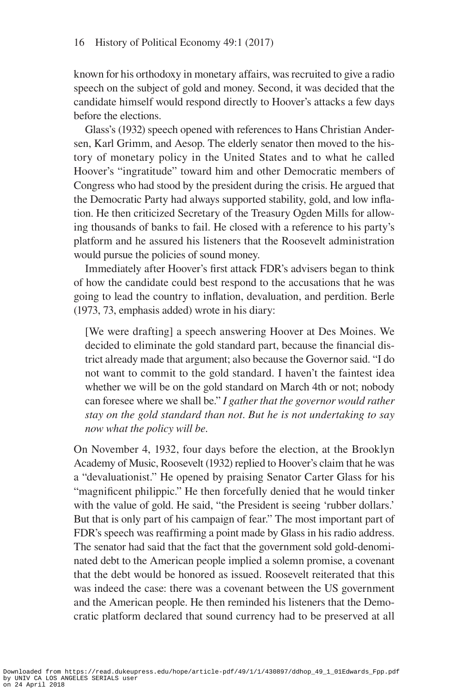known for his orthodoxy in monetary affairs, was recruited to give a radio speech on the subject of gold and money. Second, it was decided that the candidate himself would respond directly to Hoover's attacks a few days before the elections.

Glass's (1932) speech opened with references to Hans Christian Andersen, Karl Grimm, and Aesop. The elderly senator then moved to the history of monetary policy in the United States and to what he called Hoover's "ingratitude" toward him and other Democratic members of Congress who had stood by the president during the crisis. He argued that the Democratic Party had always supported stability, gold, and low inflation. He then criticized Secretary of the Treasury Ogden Mills for allowing thousands of banks to fail. He closed with a reference to his party's platform and he assured his listeners that the Roosevelt administration would pursue the policies of sound money.

Immediately after Hoover's first attack FDR's advisers began to think of how the candidate could best respond to the accusations that he was going to lead the country to inflation, devaluation, and perdition. Berle (1973, 73, emphasis added) wrote in his diary:

[We were drafting] a speech answering Hoover at Des Moines. We decided to eliminate the gold standard part, because the financial district already made that argument; also because the Governor said. "I do not want to commit to the gold standard. I haven't the faintest idea whether we will be on the gold standard on March 4th or not; nobody can foresee where we shall be." *I gather that the governor would rather stay on the gold standard than not*. *But he is not undertaking to say now what the policy will be*.

On November 4, 1932, four days before the election, at the Brooklyn Academy of Music, Roosevelt (1932) replied to Hoover's claim that he was a "devaluationist." He opened by praising Senator Carter Glass for his "magnificent philippic." He then forcefully denied that he would tinker with the value of gold. He said, "the President is seeing 'rubber dollars.' But that is only part of his campaign of fear." The most important part of FDR's speech was reaffirming a point made by Glass in his radio address. The senator had said that the fact that the government sold gold-denominated debt to the American people implied a solemn promise, a covenant that the debt would be honored as issued. Roosevelt reiterated that this was indeed the case: there was a covenant between the US government and the American people. He then reminded his listeners that the Democratic platform declared that sound currency had to be preserved at all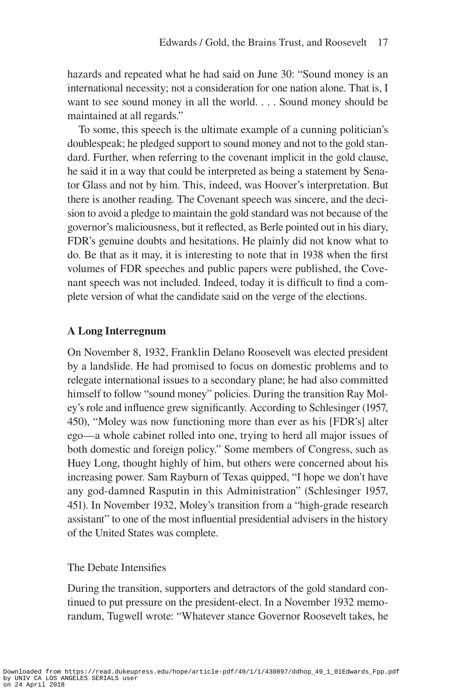hazards and repeated what he had said on June 30: "Sound money is an international necessity; not a consideration for one nation alone. That is, I want to see sound money in all the world. . . . Sound money should be maintained at all regards."

To some, this speech is the ultimate example of a cunning politician's doublespeak; he pledged support to sound money and not to the gold standard. Further, when referring to the covenant implicit in the gold clause, he said it in a way that could be interpreted as being a statement by Senator Glass and not by him. This, indeed, was Hoover's interpretation. But there is another reading. The Covenant speech was sincere, and the decision to avoid a pledge to maintain the gold standard was not because of the governor's maliciousness, but it reflected, as Berle pointed out in his diary, FDR's genuine doubts and hesitations. He plainly did not know what to do. Be that as it may, it is interesting to note that in 1938 when the first volumes of FDR speeches and public papers were published, the Covenant speech was not included. Indeed, today it is difficult to find a complete version of what the candidate said on the verge of the elections.

# **A Long Interregnum**

On November 8, 1932, Franklin Delano Roosevelt was elected president by a landslide. He had promised to focus on domestic problems and to relegate international issues to a secondary plane; he had also committed himself to follow "sound money" policies. During the transition Ray Moley's role and influence grew significantly. According to Schlesinger (1957, 450), "Moley was now functioning more than ever as his [FDR's] alter ego—a whole cabinet rolled into one, trying to herd all major issues of both domestic and foreign policy." Some members of Congress, such as Huey Long, thought highly of him, but others were concerned about his increasing power. Sam Rayburn of Texas quipped, "I hope we don't have any god-damned Rasputin in this Administration" (Schlesinger 1957, 451). In November 1932, Moley's transition from a "high-grade research assistant" to one of the most influential presidential advisers in the history of the United States was complete.

## The Debate Intensifies

During the transition, supporters and detractors of the gold standard continued to put pressure on the president-elect. In a November 1932 memorandum, Tugwell wrote: "Whatever stance Governor Roosevelt takes, he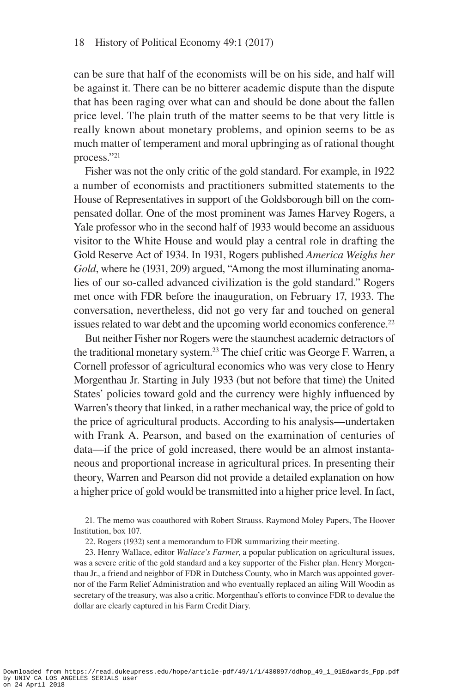can be sure that half of the economists will be on his side, and half will be against it. There can be no bitterer academic dispute than the dispute that has been raging over what can and should be done about the fallen price level. The plain truth of the matter seems to be that very little is really known about monetary problems, and opinion seems to be as much matter of temperament and moral upbringing as of rational thought process."21

Fisher was not the only critic of the gold standard. For example, in 1922 a number of economists and practitioners submitted statements to the House of Representatives in support of the Goldsborough bill on the compensated dollar. One of the most prominent was James Harvey Rogers, a Yale professor who in the second half of 1933 would become an assiduous visitor to the White House and would play a central role in drafting the Gold Reserve Act of 1934. In 1931, Rogers published *America Weighs her Gold*, where he (1931, 209) argued, "Among the most illuminating anomalies of our so-called advanced civilization is the gold standard." Rogers met once with FDR before the inauguration, on February 17, 1933. The conversation, nevertheless, did not go very far and touched on general issues related to war debt and the upcoming world economics conference.<sup>22</sup>

But neither Fisher nor Rogers were the staunchest academic detractors of the traditional monetary system.23 The chief critic was George F. Warren, a Cornell professor of agricultural economics who was very close to Henry Morgenthau Jr. Starting in July 1933 (but not before that time) the United States' policies toward gold and the currency were highly influenced by Warren's theory that linked, in a rather mechanical way, the price of gold to the price of agricultural products. According to his analysis—undertaken with Frank A. Pearson, and based on the examination of centuries of data—if the price of gold increased, there would be an almost instantaneous and proportional increase in agricultural prices. In presenting their theory, Warren and Pearson did not provide a detailed explanation on how a higher price of gold would be transmitted into a higher price level. In fact,

21. The memo was coauthored with Robert Strauss. Raymond Moley Papers, The Hoover Institution, box 107.

22. Rogers (1932) sent a memorandum to FDR summarizing their meeting.

23. Henry Wallace, editor *Wallace's Farmer*, a popular publication on agricultural issues, was a severe critic of the gold standard and a key supporter of the Fisher plan. Henry Morgenthau Jr., a friend and neighbor of FDR in Dutchess County, who in March was appointed governor of the Farm Relief Administration and who eventually replaced an ailing Will Woodin as secretary of the treasury, was also a critic. Morgenthau's efforts to convince FDR to devalue the dollar are clearly captured in his Farm Credit Diary.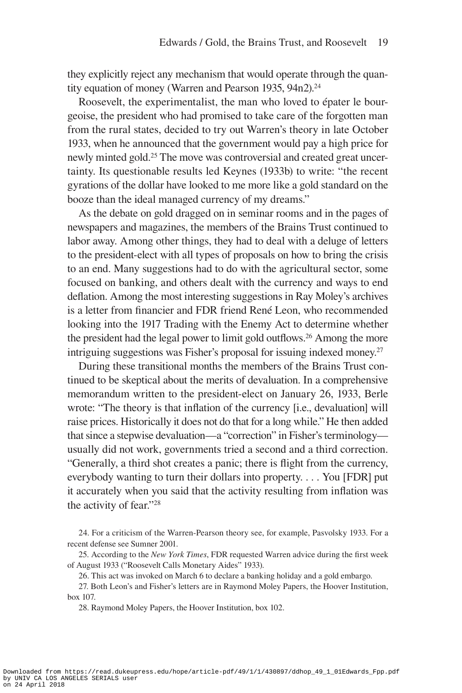they explicitly reject any mechanism that would operate through the quantity equation of money (Warren and Pearson 1935, 94n2).<sup>24</sup>

Roosevelt, the experimentalist, the man who loved to épater le bourgeoise, the president who had promised to take care of the forgotten man from the rural states, decided to try out Warren's theory in late October 1933, when he announced that the government would pay a high price for newly minted gold.<sup>25</sup> The move was controversial and created great uncertainty. Its questionable results led Keynes (1933b) to write: "the recent gyrations of the dollar have looked to me more like a gold standard on the booze than the ideal managed currency of my dreams."

As the debate on gold dragged on in seminar rooms and in the pages of newspapers and magazines, the members of the Brains Trust continued to labor away. Among other things, they had to deal with a deluge of letters to the president-elect with all types of proposals on how to bring the crisis to an end. Many suggestions had to do with the agricultural sector, some focused on banking, and others dealt with the currency and ways to end deflation. Among the most interesting suggestions in Ray Moley's archives is a letter from financier and FDR friend René Leon, who recommended looking into the 1917 Trading with the Enemy Act to determine whether the president had the legal power to limit gold outflows.26 Among the more intriguing suggestions was Fisher's proposal for issuing indexed money.27

During these transitional months the members of the Brains Trust continued to be skeptical about the merits of devaluation. In a comprehensive memorandum written to the president-elect on January 26, 1933, Berle wrote: "The theory is that inflation of the currency [i.e., devaluation] will raise prices. Historically it does not do that for a long while." He then added that since a stepwise devaluation—a "correction" in Fisher's terminology usually did not work, governments tried a second and a third correction. "Generally, a third shot creates a panic; there is flight from the currency, everybody wanting to turn their dollars into property. . . . You [FDR] put it accurately when you said that the activity resulting from inflation was the activity of fear."28

26. This act was invoked on March 6 to declare a banking holiday and a gold embargo.

27. Both Leon's and Fisher's letters are in Raymond Moley Papers, the Hoover Institution, box 107.

28. Raymond Moley Papers, the Hoover Institution, box 102.

<sup>24.</sup> For a criticism of the Warren-Pearson theory see, for example, Pasvolsky 1933. For a recent defense see Sumner 2001.

<sup>25.</sup> According to the *New York Times*, FDR requested Warren advice during the first week of August 1933 ("Roosevelt Calls Monetary Aides" 1933).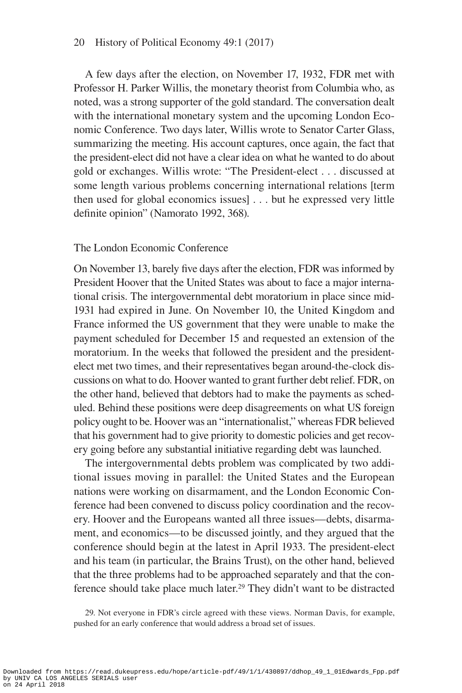#### 20 History of Political Economy 49:1 (2017)

A few days after the election, on November 17, 1932, FDR met with Professor H. Parker Willis, the monetary theorist from Columbia who, as noted, was a strong supporter of the gold standard. The conversation dealt with the international monetary system and the upcoming London Economic Conference. Two days later, Willis wrote to Senator Carter Glass, summarizing the meeting. His account captures, once again, the fact that the president-elect did not have a clear idea on what he wanted to do about gold or exchanges. Willis wrote: "The President-elect . . . discussed at some length various problems concerning international relations [term then used for global economics issues] . . . but he expressed very little definite opinion" (Namorato 1992, 368).

## The London Economic Conference

On November 13, barely five days after the election, FDR was informed by President Hoover that the United States was about to face a major international crisis. The intergovernmental debt moratorium in place since mid-1931 had expired in June. On November 10, the United Kingdom and France informed the US government that they were unable to make the payment scheduled for December 15 and requested an extension of the moratorium. In the weeks that followed the president and the presidentelect met two times, and their representatives began around-the-clock discussions on what to do. Hoover wanted to grant further debt relief. FDR, on the other hand, believed that debtors had to make the payments as scheduled. Behind these positions were deep disagreements on what US foreign policy ought to be. Hoover was an "internationalist," whereas FDR believed that his government had to give priority to domestic policies and get recovery going before any substantial initiative regarding debt was launched.

The intergovernmental debts problem was complicated by two additional issues moving in parallel: the United States and the European nations were working on disarmament, and the London Economic Conference had been convened to discuss policy coordination and the recovery. Hoover and the Europeans wanted all three issues—debts, disarmament, and economics—to be discussed jointly, and they argued that the conference should begin at the latest in April 1933. The president-elect and his team (in particular, the Brains Trust), on the other hand, believed that the three problems had to be approached separately and that the conference should take place much later.29 They didn't want to be distracted

29. Not everyone in FDR's circle agreed with these views. Norman Davis, for example, pushed for an early conference that would address a broad set of issues.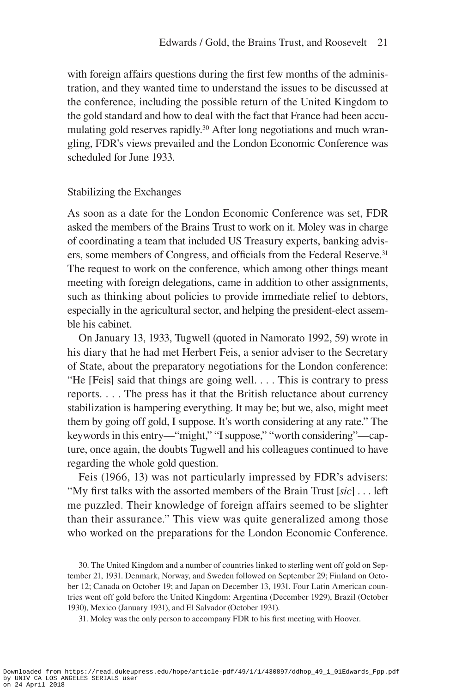with foreign affairs questions during the first few months of the administration, and they wanted time to understand the issues to be discussed at the conference, including the possible return of the United Kingdom to the gold standard and how to deal with the fact that France had been accumulating gold reserves rapidly.30 After long negotiations and much wrangling, FDR's views prevailed and the London Economic Conference was scheduled for June 1933.

## Stabilizing the Exchanges

As soon as a date for the London Economic Conference was set, FDR asked the members of the Brains Trust to work on it. Moley was in charge of coordinating a team that included US Treasury experts, banking advisers, some members of Congress, and officials from the Federal Reserve.<sup>31</sup> The request to work on the conference, which among other things meant meeting with foreign delegations, came in addition to other assignments, such as thinking about policies to provide immediate relief to debtors, especially in the agricultural sector, and helping the president-elect assemble his cabinet.

On January 13, 1933, Tugwell (quoted in Namorato 1992, 59) wrote in his diary that he had met Herbert Feis, a senior adviser to the Secretary of State, about the preparatory negotiations for the London conference: "He [Feis] said that things are going well. . . . This is contrary to press reports. . . . The press has it that the British reluctance about currency stabilization is hampering everything. It may be; but we, also, might meet them by going off gold, I suppose. It's worth considering at any rate." The keywords in this entry—"might," "I suppose," "worth considering"—capture, once again, the doubts Tugwell and his colleagues continued to have regarding the whole gold question.

Feis (1966, 13) was not particularly impressed by FDR's advisers: "My first talks with the assorted members of the Brain Trust [*sic*] . . . left me puzzled. Their knowledge of foreign affairs seemed to be slighter than their assurance." This view was quite generalized among those who worked on the preparations for the London Economic Conference.

<sup>30.</sup> The United Kingdom and a number of countries linked to sterling went off gold on September 21, 1931. Denmark, Norway, and Sweden followed on September 29; Finland on October 12; Canada on October 19; and Japan on December 13, 1931. Four Latin American countries went off gold before the United Kingdom: Argentina (December 1929), Brazil (October 1930), Mexico (January 1931), and El Salvador (October 1931).

<sup>31.</sup> Moley was the only person to accompany FDR to his first meeting with Hoover.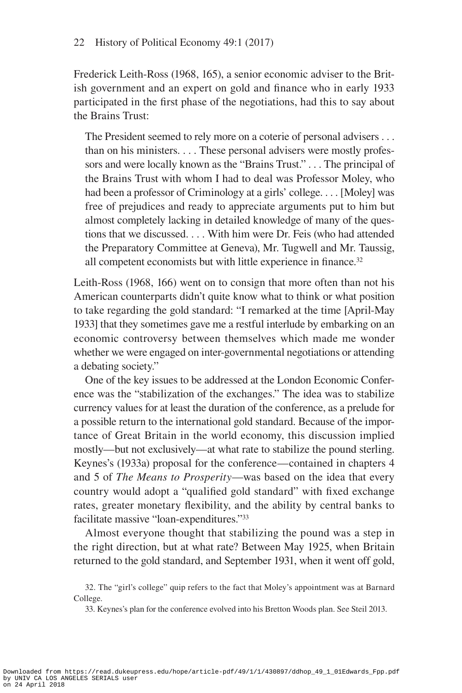Frederick Leith-Ross (1968, 165), a senior economic adviser to the British government and an expert on gold and finance who in early 1933 participated in the first phase of the negotiations, had this to say about the Brains Trust:

The President seemed to rely more on a coterie of personal advisers . . . than on his ministers. . . . These personal advisers were mostly professors and were locally known as the "Brains Trust." . . . The principal of the Brains Trust with whom I had to deal was Professor Moley, who had been a professor of Criminology at a girls' college.... [Moley] was free of prejudices and ready to appreciate arguments put to him but almost completely lacking in detailed knowledge of many of the questions that we discussed. . . . With him were Dr. Feis (who had attended the Preparatory Committee at Geneva), Mr. Tugwell and Mr. Taussig, all competent economists but with little experience in finance.32

Leith-Ross (1968, 166) went on to consign that more often than not his American counterparts didn't quite know what to think or what position to take regarding the gold standard: "I remarked at the time [April-May 1933] that they sometimes gave me a restful interlude by embarking on an economic controversy between themselves which made me wonder whether we were engaged on inter-governmental negotiations or attending a debating society."

One of the key issues to be addressed at the London Economic Conference was the "stabilization of the exchanges." The idea was to stabilize currency values for at least the duration of the conference, as a prelude for a possible return to the international gold standard. Because of the importance of Great Britain in the world economy, this discussion implied mostly—but not exclusively—at what rate to stabilize the pound sterling. Keynes's (1933a) proposal for the conference—contained in chapters 4 and 5 of *The Means to Prosperity*—was based on the idea that every country would adopt a "qualified gold standard" with fixed exchange rates, greater monetary flexibility, and the ability by central banks to facilitate massive "loan-expenditures."33

Almost everyone thought that stabilizing the pound was a step in the right direction, but at what rate? Between May 1925, when Britain returned to the gold standard, and September 1931, when it went off gold,

<sup>32.</sup> The "girl's college" quip refers to the fact that Moley's appointment was at Barnard College.

<sup>33.</sup> Keynes's plan for the conference evolved into his Bretton Woods plan. See Steil 2013.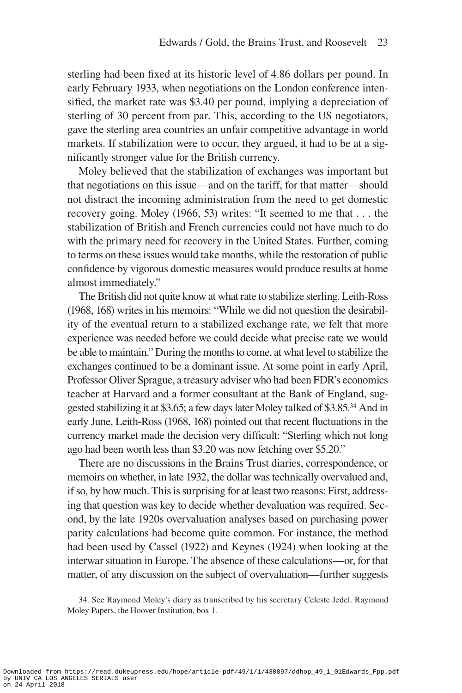sterling had been fixed at its historic level of 4.86 dollars per pound. In early February 1933, when negotiations on the London conference intensified, the market rate was \$3.40 per pound, implying a depreciation of sterling of 30 percent from par. This, according to the US negotiators, gave the sterling area countries an unfair competitive advantage in world markets. If stabilization were to occur, they argued, it had to be at a significantly stronger value for the British currency.

Moley believed that the stabilization of exchanges was important but that negotiations on this issue—and on the tariff, for that matter—should not distract the incoming administration from the need to get domestic recovery going. Moley (1966, 53) writes: "It seemed to me that . . . the stabilization of British and French currencies could not have much to do with the primary need for recovery in the United States. Further, coming to terms on these issues would take months, while the restoration of public confidence by vigorous domestic measures would produce results at home almost immediately."

The British did not quite know at what rate to stabilize sterling. Leith-Ross (1968, 168) writes in his memoirs: "While we did not question the desirability of the eventual return to a stabilized exchange rate, we felt that more experience was needed before we could decide what precise rate we would be able to maintain." During the months to come, at what level to stabilize the exchanges continued to be a dominant issue. At some point in early April, Professor Oliver Sprague, a treasury adviser who had been FDR's economics teacher at Harvard and a former consultant at the Bank of England, suggested stabilizing it at \$3.65; a few days later Moley talked of \$3.85.34 And in early June, Leith-Ross (1968, 168) pointed out that recent fluctuations in the currency market made the decision very difficult: "Sterling which not long ago had been worth less than \$3.20 was now fetching over \$5.20."

There are no discussions in the Brains Trust diaries, correspondence, or memoirs on whether, in late 1932, the dollar was technically overvalued and, if so, by how much. This is surprising for at least two reasons: First, addressing that question was key to decide whether devaluation was required. Second, by the late 1920s overvaluation analyses based on purchasing power parity calculations had become quite common. For instance, the method had been used by Cassel (1922) and Keynes (1924) when looking at the interwar situation in Europe. The absence of these calculations—or, for that matter, of any discussion on the subject of overvaluation—further suggests

34. See Raymond Moley's diary as transcribed by his secretary Celeste Jedel. Raymond Moley Papers, the Hoover Institution, box 1.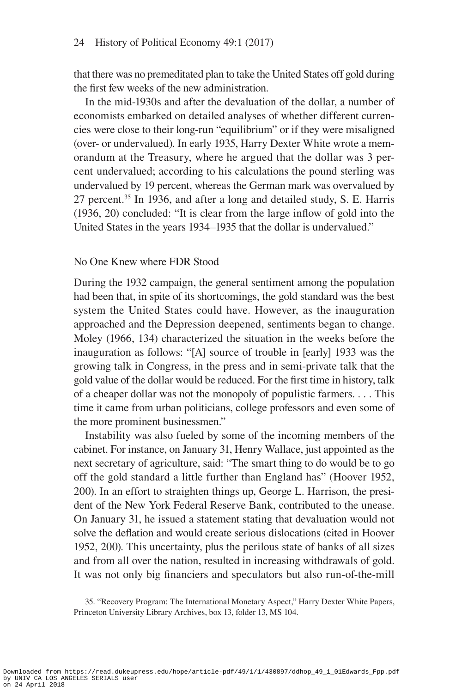that there was no premeditated plan to take the United States off gold during the first few weeks of the new administration.

In the mid-1930s and after the devaluation of the dollar, a number of economists embarked on detailed analyses of whether different currencies were close to their long-run "equilibrium" or if they were misaligned (over- or undervalued). In early 1935, Harry Dexter White wrote a memorandum at the Treasury, where he argued that the dollar was 3 percent undervalued; according to his calculations the pound sterling was undervalued by 19 percent, whereas the German mark was overvalued by 27 percent.35 In 1936, and after a long and detailed study, S. E. Harris (1936, 20) concluded: "It is clear from the large inflow of gold into the United States in the years 1934–1935 that the dollar is undervalued."

No One Knew where FDR Stood

During the 1932 campaign, the general sentiment among the population had been that, in spite of its shortcomings, the gold standard was the best system the United States could have. However, as the inauguration approached and the Depression deepened, sentiments began to change. Moley (1966, 134) characterized the situation in the weeks before the inauguration as follows: "[A] source of trouble in [early] 1933 was the growing talk in Congress, in the press and in semi-private talk that the gold value of the dollar would be reduced. For the first time in history, talk of a cheaper dollar was not the monopoly of populistic farmers. . . . This time it came from urban politicians, college professors and even some of the more prominent businessmen."

Instability was also fueled by some of the incoming members of the cabinet. For instance, on January 31, Henry Wallace, just appointed as the next secretary of agriculture, said: "The smart thing to do would be to go off the gold standard a little further than England has" (Hoover 1952, 200). In an effort to straighten things up, George L. Harrison, the president of the New York Federal Reserve Bank, contributed to the unease. On January 31, he issued a statement stating that devaluation would not solve the deflation and would create serious dislocations (cited in Hoover 1952, 200). This uncertainty, plus the perilous state of banks of all sizes and from all over the nation, resulted in increasing withdrawals of gold. It was not only big financiers and speculators but also run-of-the-mill

<sup>35. &</sup>quot;Recovery Program: The International Monetary Aspect," Harry Dexter White Papers, Princeton University Library Archives, box 13, folder 13, MS 104.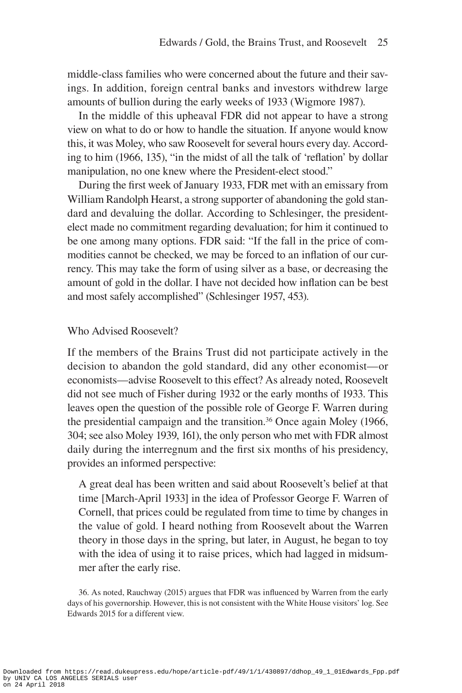middle-class families who were concerned about the future and their savings. In addition, foreign central banks and investors withdrew large amounts of bullion during the early weeks of 1933 (Wigmore 1987).

In the middle of this upheaval FDR did not appear to have a strong view on what to do or how to handle the situation. If anyone would know this, it was Moley, who saw Roosevelt for several hours every day. According to him (1966, 135), "in the midst of all the talk of 'reflation' by dollar manipulation, no one knew where the President-elect stood."

During the first week of January 1933, FDR met with an emissary from William Randolph Hearst, a strong supporter of abandoning the gold standard and devaluing the dollar. According to Schlesinger, the presidentelect made no commitment regarding devaluation; for him it continued to be one among many options. FDR said: "If the fall in the price of commodities cannot be checked, we may be forced to an inflation of our currency. This may take the form of using silver as a base, or decreasing the amount of gold in the dollar. I have not decided how inflation can be best and most safely accomplished" (Schlesinger 1957, 453).

## Who Advised Roosevelt?

If the members of the Brains Trust did not participate actively in the decision to abandon the gold standard, did any other economist—or economists—advise Roosevelt to this effect? As already noted, Roosevelt did not see much of Fisher during 1932 or the early months of 1933. This leaves open the question of the possible role of George F. Warren during the presidential campaign and the transition.<sup>36</sup> Once again Moley (1966, 304; see also Moley 1939, 161), the only person who met with FDR almost daily during the interregnum and the first six months of his presidency, provides an informed perspective:

A great deal has been written and said about Roosevelt's belief at that time [March-April 1933] in the idea of Professor George F. Warren of Cornell, that prices could be regulated from time to time by changes in the value of gold. I heard nothing from Roosevelt about the Warren theory in those days in the spring, but later, in August, he began to toy with the idea of using it to raise prices, which had lagged in midsummer after the early rise.

36. As noted, Rauchway (2015) argues that FDR was influenced by Warren from the early days of his governorship. However, this is not consistent with the White House visitors' log. See Edwards 2015 for a different view.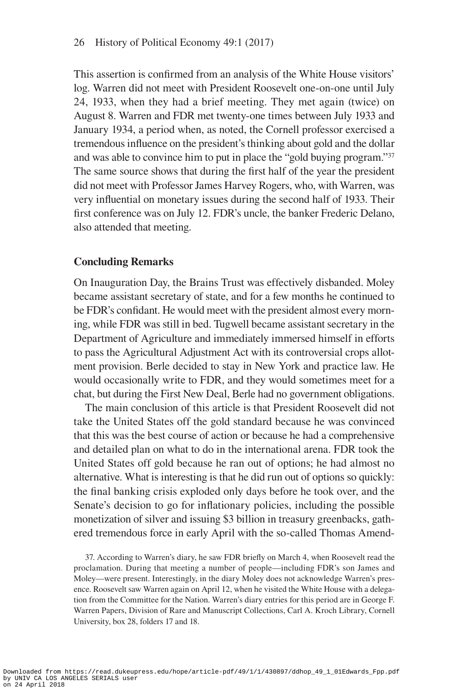This assertion is confirmed from an analysis of the White House visitors' log. Warren did not meet with President Roosevelt one-on-one until July 24, 1933, when they had a brief meeting. They met again (twice) on August 8. Warren and FDR met twenty-one times between July 1933 and January 1934, a period when, as noted, the Cornell professor exercised a tremendous influence on the president's thinking about gold and the dollar and was able to convince him to put in place the "gold buying program."37 The same source shows that during the first half of the year the president did not meet with Professor James Harvey Rogers, who, with Warren, was very influential on monetary issues during the second half of 1933. Their first conference was on July 12. FDR's uncle, the banker Frederic Delano, also attended that meeting.

## **Concluding Remarks**

On Inauguration Day, the Brains Trust was effectively disbanded. Moley became assistant secretary of state, and for a few months he continued to be FDR's confidant. He would meet with the president almost every morning, while FDR was still in bed. Tugwell became assistant secretary in the Department of Agriculture and immediately immersed himself in efforts to pass the Agricultural Adjustment Act with its controversial crops allotment provision. Berle decided to stay in New York and practice law. He would occasionally write to FDR, and they would sometimes meet for a chat, but during the First New Deal, Berle had no government obligations.

The main conclusion of this article is that President Roosevelt did not take the United States off the gold standard because he was convinced that this was the best course of action or because he had a comprehensive and detailed plan on what to do in the international arena. FDR took the United States off gold because he ran out of options; he had almost no alternative. What is interesting is that he did run out of options so quickly: the final banking crisis exploded only days before he took over, and the Senate's decision to go for inflationary policies, including the possible monetization of silver and issuing \$3 billion in treasury greenbacks, gathered tremendous force in early April with the so-called Thomas Amend-

37. According to Warren's diary, he saw FDR briefly on March 4, when Roosevelt read the proclamation. During that meeting a number of people—including FDR's son James and Moley—were present. Interestingly, in the diary Moley does not acknowledge Warren's presence. Roosevelt saw Warren again on April 12, when he visited the White House with a delegation from the Committee for the Nation. Warren's diary entries for this period are in George F. Warren Papers, Division of Rare and Manuscript Collections, Carl A. Kroch Library, Cornell University, box 28, folders 17 and 18.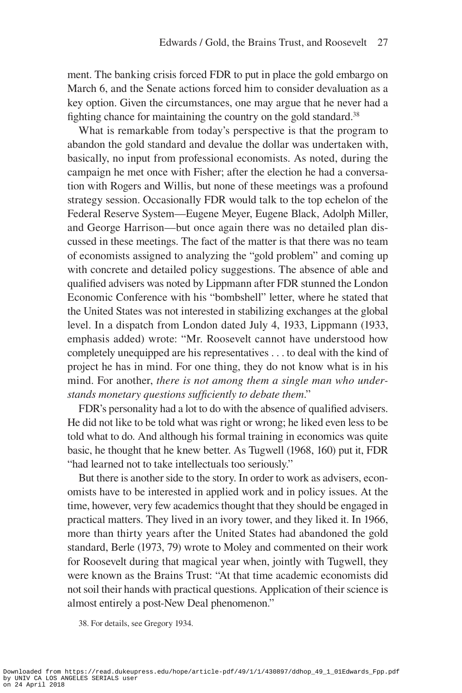ment. The banking crisis forced FDR to put in place the gold embargo on March 6, and the Senate actions forced him to consider devaluation as a key option. Given the circumstances, one may argue that he never had a fighting chance for maintaining the country on the gold standard.<sup>38</sup>

What is remarkable from today's perspective is that the program to abandon the gold standard and devalue the dollar was undertaken with, basically, no input from professional economists. As noted, during the campaign he met once with Fisher; after the election he had a conversation with Rogers and Willis, but none of these meetings was a profound strategy session. Occasionally FDR would talk to the top echelon of the Federal Reserve System—Eugene Meyer, Eugene Black, Adolph Miller, and George Harrison—but once again there was no detailed plan discussed in these meetings. The fact of the matter is that there was no team of economists assigned to analyzing the "gold problem" and coming up with concrete and detailed policy suggestions. The absence of able and qualified advisers was noted by Lippmann after FDR stunned the London Economic Conference with his "bombshell" letter, where he stated that the United States was not interested in stabilizing exchanges at the global level. In a dispatch from London dated July 4, 1933, Lippmann (1933, emphasis added) wrote: "Mr. Roosevelt cannot have understood how completely unequipped are his representatives . . . to deal with the kind of project he has in mind. For one thing, they do not know what is in his mind. For another, *there is not among them a single man who understands monetary questions sufficiently to debate them*."

FDR's personality had a lot to do with the absence of qualified advisers. He did not like to be told what was right or wrong; he liked even less to be told what to do. And although his formal training in economics was quite basic, he thought that he knew better. As Tugwell (1968, 160) put it, FDR "had learned not to take intellectuals too seriously."

But there is another side to the story. In order to work as advisers, economists have to be interested in applied work and in policy issues. At the time, however, very few academics thought that they should be engaged in practical matters. They lived in an ivory tower, and they liked it. In 1966, more than thirty years after the United States had abandoned the gold standard, Berle (1973, 79) wrote to Moley and commented on their work for Roosevelt during that magical year when, jointly with Tugwell, they were known as the Brains Trust: "At that time academic economists did not soil their hands with practical questions. Application of their science is almost entirely a post-New Deal phenomenon."

<sup>38.</sup> For details, see Gregory 1934.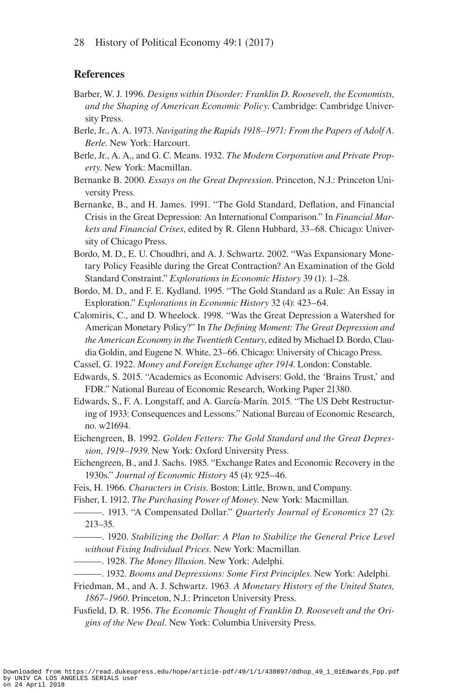## **References**

- Barber, W. J. 1996. *Designs within Disorder: Franklin D. Roosevelt, the Economists, and the Shaping of American Economic Policy*. Cambridge: Cambridge University Press.
- Berle, Jr., A. A. 1973. *Navigating the Rapids 1918–1971: From the Papers of Adolf A. Berle*. New York: Harcourt.
- Berle, Jr., A. A., and G. C. Means. 1932. *The Modern Corporation and Private Property*. New York: Macmillan.
- Bernanke B. 2000. *Essays on the Great Depression*. Princeton, N.J.: Princeton University Press.
- Bernanke, B., and H. James. 1991. "The Gold Standard, Deflation, and Financial Crisis in the Great Depression: An International Comparison." In *Financial Markets and Financial Crises*, edited by R. Glenn Hubbard, 33–68. Chicago: University of Chicago Press.
- Bordo, M. D., E. U. Choudhri, and A. J. Schwartz. 2002. "Was Expansionary Monetary Policy Feasible during the Great Contraction? An Examination of the Gold Standard Constraint." *Explorations in Economic History* 39 (1): 1–28.
- Bordo, M. D., and F. E. Kydland. 1995. "The Gold Standard as a Rule: An Essay in Exploration." *Explorations in Economic History* 32 (4): 423–64.
- Calomiris, C., and D. Wheelock. 1998. "Was the Great Depression a Watershed for American Monetary Policy?" In *The Defining Moment: The Great Depression and the American Economy in the Twentieth Century*, edited by Michael D. Bordo, Claudia Goldin, and Eugene N. White, 23–66. Chicago: University of Chicago Press.
- Cassel, G. 1922. *Money and Foreign Exchange after 1914*. London: Constable.
- Edwards, S. 2015. "Academics as Economic Advisers: Gold, the 'Brains Trust,' and FDR." National Bureau of Economic Research, Working Paper 21380.
- Edwards, S., F. A. Longstaff, and A. García-Marín. 2015. "The US Debt Restructuring of 1933: Consequences and Lessons." National Bureau of Economic Research, no. w21694.
- Eichengreen, B. 1992. *Golden Fetters: The Gold Standard and the Great Depression, 1919–1939*. New York: Oxford University Press.
- Eichengreen, B., and J. Sachs. 1985. "Exchange Rates and Economic Recovery in the 1930s." *Journal of Economic History* 45 (4): 925–46.
- Feis, H. 1966. *Characters in Crisis*. Boston: Little, Brown, and Company.
- Fisher, I. 1912. *The Purchasing Power of Money*. New York: Macmillan.
- ———. 1913. "A Compensated Dollar." *Quarterly Journal of Economics* 27 (2): 213–35.
- ———. 1920. *Stabilizing the Dollar: A Plan to Stabilize the General Price Level without Fixing Individual Prices*. New York: Macmillan.
- ———. 1928. *The Money Illusion*. New York: Adelphi.
- ———. 1932. *Booms and Depressions: Some First Principles*. New York: Adelphi.
- Friedman, M., and A. J. Schwartz. 1963. *A Monetary History of the United States, 1867–1960*. Princeton, N.J.: Princeton University Press.
- Fusfield, D. R. 1956. *The Economic Thought of Franklin D. Roosevelt and the Origins of the New Deal*. New York: Columbia University Press.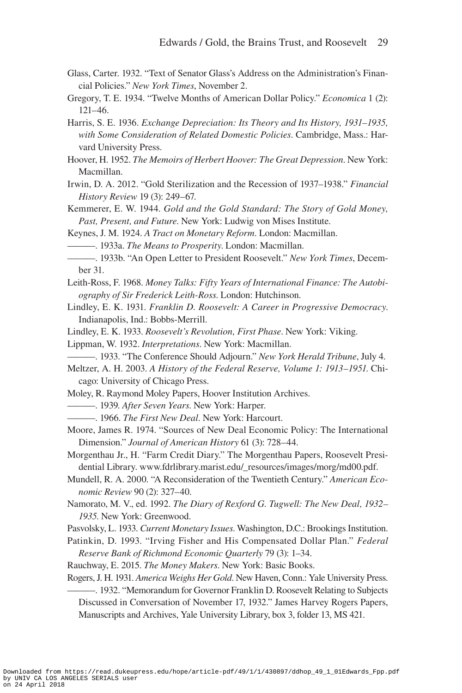- Glass, Carter. 1932. "Text of Senator Glass's Address on the Administration's Financial Policies." *New York Times*, November 2.
- Gregory, T. E. 1934. "Twelve Months of American Dollar Policy." *Economica* 1 (2): 121–46.
- Harris, S. E. 1936. *Exchange Depreciation: Its Theory and Its History, 1931–1935, with Some Consideration of Related Domestic Policies*. Cambridge, Mass.: Harvard University Press.
- Hoover, H. 1952. *The Memoirs of Herbert Hoover: The Great Depression*. New York: Macmillan.
- Irwin, D. A. 2012. "Gold Sterilization and the Recession of 1937–1938." *Financial History Review* 19 (3): 249–67.

Kemmerer, E. W. 1944. *Gold and the Gold Standard: The Story of Gold Money, Past, Present, and Future*. New York: Ludwig von Mises Institute.

Keynes, J. M. 1924. *A Tract on Monetary Reform*. London: Macmillan.

- ———. 1933a. *The Means to Prosperity*. London: Macmillan.
- ———. 1933b. "An Open Letter to President Roosevelt." *New York Times*, December 31.
- Leith-Ross, F. 1968. *Money Talks: Fifty Years of International Finance: The Autobiography of Sir Frederick Leith-Ross*. London: Hutchinson.
- Lindley, E. K. 1931. *Franklin D. Roosevelt: A Career in Progressive Democracy*. Indianapolis, Ind.: Bobbs-Merrill.
- Lindley, E. K. 1933. *Roosevelt's Revolution, First Phase*. New York: Viking.
- Lippman, W. 1932. *Interpretations*. New York: Macmillan.
- ———. 1933. "The Conference Should Adjourn." *New York Herald Tribune*, July 4.
- Meltzer, A. H. 2003. *A History of the Federal Reserve, Volume 1: 1913–1951*. Chicago: University of Chicago Press.
- Moley, R. Raymond Moley Papers, Hoover Institution Archives.

———. 1939. *After Seven Years*. New York: Harper.

- ———. 1966. *The First New Deal*. New York: Harcourt.
- Moore, James R. 1974. "Sources of New Deal Economic Policy: The International Dimension." *Journal of American History* 61 (3): 728–44.
- Morgenthau Jr., H. "Farm Credit Diary." The Morgenthau Papers, Roosevelt Presidential Library. www.fdrlibrary.marist.edu/\_resources/images/morg/md00.pdf.
- Mundell, R. A. 2000. "A Reconsideration of the Twentieth Century." *American Economic Review* 90 (2): 327–40.
- Namorato, M. V., ed. 1992. *The Diary of Rexford G. Tugwell: The New Deal, 1932– 1935*. New York: Greenwood.

Pasvolsky, L. 1933. *Current Monetary Issues*. Washington, D.C.: Brookings Institution.

Patinkin, D. 1993. "Irving Fisher and His Compensated Dollar Plan." *Federal Reserve Bank of Richmond Economic Quarterly* 79 (3): 1–34.

Rauchway, E. 2015. *The Money Makers*. New York: Basic Books.

Rogers, J. H. 1931. *America Weighs Her Gold*. New Haven, Conn.: Yale University Press. ———. 1932. "Memorandum for Governor Franklin D. Roosevelt Relating to Subjects Discussed in Conversation of November 17, 1932." James Harvey Rogers Papers, Manuscripts and Archives, Yale University Library, box 3, folder 13, MS 421.